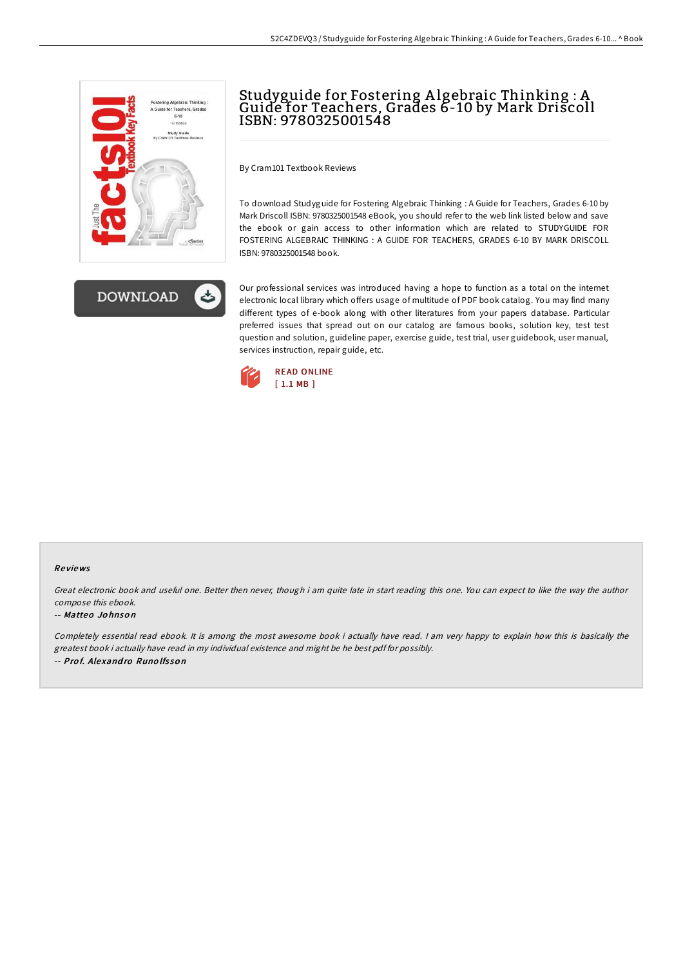



# Studyguide for Fostering A lgebraic Thinking : A Guide for Teachers, Grades 6-10 by Mark Driscoll ISBN: 9780325001548

By Cram101 Textbook Reviews

To download Studyguide for Fostering Algebraic Thinking : A Guide for Teachers, Grades 6-10 by Mark Driscoll ISBN: 9780325001548 eBook, you should refer to the web link listed below and save the ebook or gain access to other information which are related to STUDYGUIDE FOR FOSTERING ALGEBRAIC THINKING : A GUIDE FOR TEACHERS, GRADES 6-10 BY MARK DRISCOLL ISBN: 9780325001548 book.

Our professional services was introduced having a hope to function as a total on the internet electronic local library which offers usage of multitude of PDF book catalog. You may find many different types of e-book along with other literatures from your papers database. Particular preferred issues that spread out on our catalog are famous books, solution key, test test question and solution, guideline paper, exercise guide, test trial, user guidebook, user manual, services instruction, repair guide, etc.



#### Re views

Great electronic book and useful one. Better then never, though i am quite late in start reading this one. You can expect to like the way the author compose this ebook.

#### -- Matteo Jo hnso <sup>n</sup>

Completely essential read ebook. It is among the most awesome book i actually have read. I am very happy to explain how this is basically the greatest book i actually have read in my individual existence and might be he best pdf for possibly. -- Prof. Alexandro Runolfsson